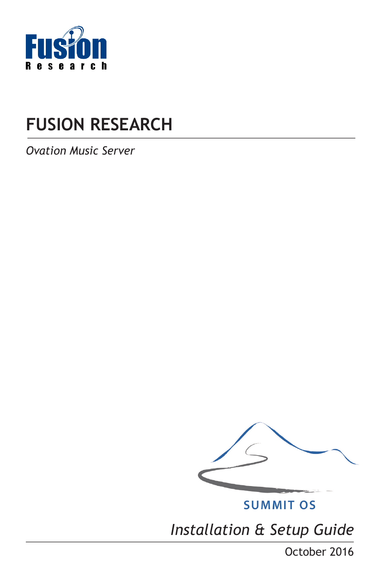

# **FUSION RESEARCH**

*Ovation Music Server*



**SUMMIT OS** 

*Installation & Setup Guide*

October 2016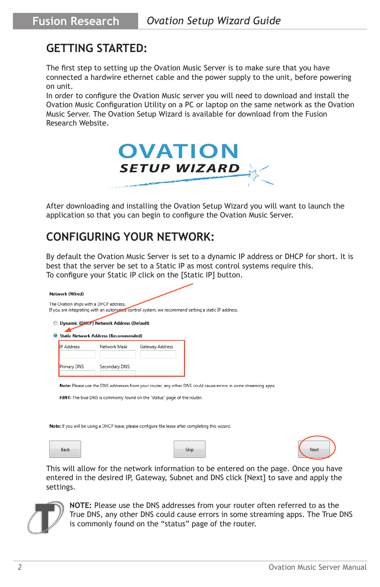### **GETTING STARTED:**

The first step to setting up the Ovation Music Server is to make sure that you have connected a hardwire ethernet cable and the power supply to the unit, before powering on unit.

In order to configure the Ovation Music server you will need to download and install the Ovation Music Configuration Utility on a PC or laptop on the same network as the Ovation Music Server. The Ovation Setup Wizard is available for download from the Fusion Research Website.



After downloading and installing the Ovation Setup Wizard you will want to launch the application so that you can begin to configure the Ovation Music Server.

### **CONFIGURING YOUR NETWORK:**

By default the Ovation Music Server is set to a dynamic IP address or DHCP for short. It is best that the server be set to a Static IP as most control systems require this. To configure your Static IP click on the [Static IP] button.

| <b>IP</b> Address | <b>Static Network Address (Recommended)</b><br>Network Mask | Gateway Address                                                          |                                                                                                               |  |
|-------------------|-------------------------------------------------------------|--------------------------------------------------------------------------|---------------------------------------------------------------------------------------------------------------|--|
| Primary DNS       | Secondary DNS                                               |                                                                          |                                                                                                               |  |
|                   |                                                             |                                                                          |                                                                                                               |  |
|                   |                                                             |                                                                          | Note: Please use the DNS addresses from your router, any other DNS could cause errors in some streaming apps. |  |
|                   |                                                             | HINT: The true DNS is commonly found on the "status" page of the router. |                                                                                                               |  |

This will allow for the network information to be entered on the page. Once you have entered in the desired IP, Gateway, Subnet and DNS click [Next] to save and apply the settings.



**NOTE:** Please use the DNS addresses from your router often referred to as the True DNS, any other DNS could cause errors in some streaming apps. The True DNS is commonly found on the "status" page of the router.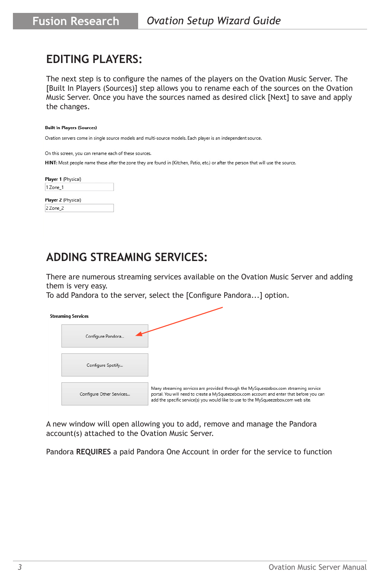### **EDITING PLAYERS:**

The next step is to configure the names of the players on the Ovation Music Server. The [Built In Players (Sources)] step allows you to rename each of the sources on the Ovation Music Server. Once you have the sources named as desired click [Next] to save and apply the changes.

#### **Built In Players (Sources)**

Ovation servers come in single source models and multi-source models. Each player is an independent source.

On this screen, you can rename each of these sources.

HINT: Most people name these after the zone they are found in (Kitchen, Patio, etc.) or after the person that will use the source.

| Player 1 (Physical)        |  |  |  |
|----------------------------|--|--|--|
| 1 Zone 1                   |  |  |  |
| <b>Player 3 (District)</b> |  |  |  |

| yer ∠ (i<br>. |  |
|---------------|--|
|               |  |

### **ADDING STREAMING SERVICES:**

There are numerous streaming services available on the Ovation Music Server and adding them is very easy.

To add Pandora to the server, select the [Configure Pandora...] option.

| <b>Streaming Services</b> |                                                                                                                                                                                                                                                                        |
|---------------------------|------------------------------------------------------------------------------------------------------------------------------------------------------------------------------------------------------------------------------------------------------------------------|
| Configure Pandora         |                                                                                                                                                                                                                                                                        |
| Configure Spotify         |                                                                                                                                                                                                                                                                        |
| Configure Other Services  | Many streaming services are provided through the MySqueezebox.com streaming service<br>portal. You will need to create a MySqueezebox.com account and enter that before you can<br>add the specific service(s) you would like to use to the MySqueezebox.com web site. |

A new window will open allowing you to add, remove and manage the Pandora account(s) attached to the Ovation Music Server.

Pandora **REQUIRES** a paid Pandora One Account in order for the service to function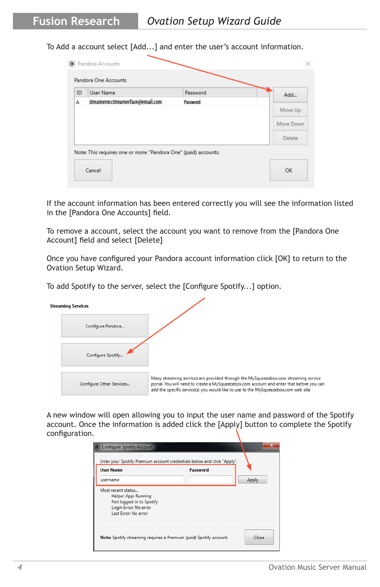To Add a account select [Add...] and enter the user's account information.

|   |                                  |          | Add       |
|---|----------------------------------|----------|-----------|
| А | streamermcstreamerface@email.com | Password |           |
|   |                                  |          | Move Up   |
|   |                                  |          | Move Down |
|   |                                  |          | Delete    |

If the account information has been entered correctly you will see the information listed in the [Pandora One Accounts] field.

To remove a account, select the account you want to remove from the [Pandora One Account] field and select [Delete]

Once you have configured your Pandora account information click [OK] to return to the Ovation Setup Wizard.

To add Spotify to the server, select the [Configure Spotify...] option.

| <b>Streaming Services</b> |                                                                                                                                                                                                                                                                        |
|---------------------------|------------------------------------------------------------------------------------------------------------------------------------------------------------------------------------------------------------------------------------------------------------------------|
| Configure Pandora         |                                                                                                                                                                                                                                                                        |
| Configure Spotify         |                                                                                                                                                                                                                                                                        |
| Configure Other Services  | Many streaming services are provided through the MySqueezebox.com streaming service<br>portal. You will need to create a MySqueezebox.com account and enter that before you can<br>add the specific service(s) you would like to use to the MySqueezebox.com web site. |

A new window will open allowing you to input the user name and password of the Spotify account. Once the information is added click the [Apply] button to complete the Spotify configuration.

| <b>User Name</b>                                | Password |       |
|-------------------------------------------------|----------|-------|
| username                                        |          | Apply |
| Most recent status                              |          |       |
| Helper App: Running<br>Not logged in to Spotify |          |       |
| Login Error: No error                           |          |       |
| Last Error: No error                            |          |       |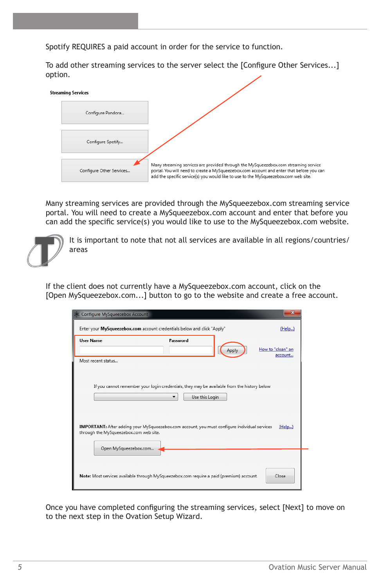Spotify REQUIRES a paid account in order for the service to function.

To add other streaming services to the server select the [Configure Other Services...] option.



Many streaming services are provided through the MySqueezebox.com streaming service portal. You will need to create a MySqueezebox.com account and enter that before you can add the specific service(s) you would like to use to the MySqueezebox.com website.



It is important to note that not all services are available in all regions/countries/ areas

If the client does not currently have a MySqueezebox.com account, click on the [Open MySqueezebox.com...] button to go to the website and create a free account.

| SK Configure MySqueezebox Account                               |                                                                                                                                                                                                                | $\mathbf{x}$                 |
|-----------------------------------------------------------------|----------------------------------------------------------------------------------------------------------------------------------------------------------------------------------------------------------------|------------------------------|
|                                                                 | Enter your MySqueezebox.com account credentials below and click "Apply"                                                                                                                                        | (Help)                       |
| <b>User Name</b>                                                | Password<br>Apply                                                                                                                                                                                              | How to "clean" an<br>account |
| Most recent status                                              |                                                                                                                                                                                                                |                              |
| through the MySqueezebox.com web site.<br>Open MySqueezebox.com | If you cannot remember your login credentials, they may be available from the history below<br>Use this Login<br>IMPORTANT: After adding your MySqueezebox.com account, you must configure individual services | (Help)                       |
|                                                                 | Note: Most services available through MySqueezebox.com require a paid (premium) account.                                                                                                                       | Close                        |

Once you have completed configuring the streaming services, select [Next] to move on to the next step in the Ovation Setup Wizard.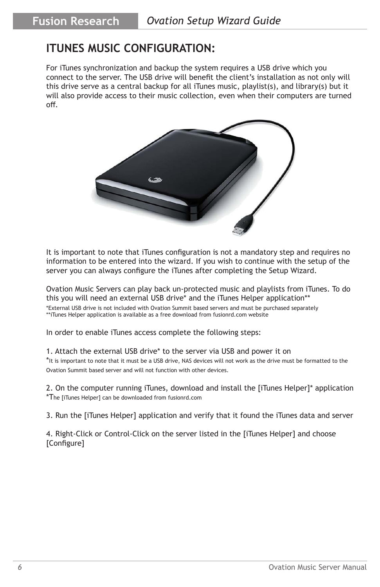## **ITUNES MUSIC CONFIGURATION:**

For iTunes synchronization and backup the system requires a USB drive which you connect to the server. The USB drive will benefit the client's installation as not only will this drive serve as a central backup for all iTunes music, playlist(s), and library(s) but it will also provide access to their music collection, even when their computers are turned off.



It is important to note that iTunes configuration is not a mandatory step and requires no information to be entered into the wizard. If you wish to continue with the setup of the server you can always configure the iTunes after completing the Setup Wizard.

Ovation Music Servers can play back un-protected music and playlists from iTunes. To do this you will need an external USB drive\* and the iTunes Helper application\*\* \*External USB drive is not included with Ovation Summit based servers and must be purchased separately

\*\*iTunes Helper application is available as a free download from fusionrd.com website

In order to enable iTunes access complete the following steps:

#### 1. Attach the external USB drive\* to the server via USB and power it on

\*It is important to note that it must be a USB drive, NAS devices will not work as the drive must be formatted to the Ovation Summit based server and will not function with other devices.

2. On the computer running iTunes, download and install the [iTunes Helper]\* application \*The [iTunes Helper] can be downloaded from fusionrd.com

3. Run the [iTunes Helper] application and verify that it found the iTunes data and server

4. Right-Click or Control-Click on the server listed in the [iTunes Helper] and choose [Configure]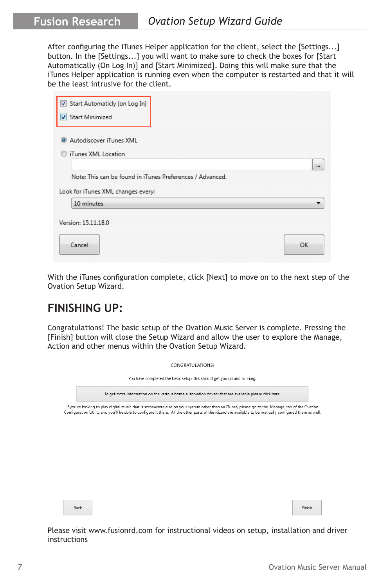After configuring the iTunes Helper application for the client, select the [Settings...] button. In the [Settings...] you will want to make sure to check the boxes for [Start Automatically (On Log In)] and [Start Minimized]. Doing this will make sure that the iTunes Helper application is running even when the computer is restarted and that it will be the least intrusive for the client.

| Start Automaticly (on Log In)<br>Start Minimized          |  |          |
|-----------------------------------------------------------|--|----------|
| • Autodiscover iTunes XML                                 |  |          |
| iTunes XML Location                                       |  |          |
|                                                           |  | $\cdots$ |
|                                                           |  |          |
| Note: This can be found in iTunes Preferences / Advanced. |  |          |
|                                                           |  |          |
|                                                           |  |          |
| Look for iTunes XML changes every:<br>10 minutes          |  |          |
|                                                           |  |          |
|                                                           |  |          |
| Version: 15.11.18.0                                       |  |          |

With the iTunes configuration complete, click [Next] to move on to the next step of the Ovation Setup Wizard.

### **FINISHING UP:**

Congratulations! The basic setup of the Ovation Music Server is complete. Pressing the [Finish] button will close the Setup Wizard and allow the user to explore the Manage, Action and other menus within the Ovation Setup Wizard.

| CONGRATULATIONS!                                                                                                                                                                                                                                                                                             |        |  |  |  |
|--------------------------------------------------------------------------------------------------------------------------------------------------------------------------------------------------------------------------------------------------------------------------------------------------------------|--------|--|--|--|
| You have completed the basic setup, this should get you up and running.                                                                                                                                                                                                                                      |        |  |  |  |
| To get more information on the various home automation drivers that are available please click here.                                                                                                                                                                                                         |        |  |  |  |
| If you're looking to play digital music that is somewhere else on your system other than an iTunes, please go to the 'Manage' tab of the Ovation<br>Configuration Utility and you'll be able to configure it there. All the other parts of the wizard are available to be manually configured there as well. |        |  |  |  |
|                                                                                                                                                                                                                                                                                                              |        |  |  |  |
|                                                                                                                                                                                                                                                                                                              |        |  |  |  |
|                                                                                                                                                                                                                                                                                                              | Finish |  |  |  |
|                                                                                                                                                                                                                                                                                                              |        |  |  |  |

Please visit www.fusionrd.com for instructional videos on setup, installation and driver instructions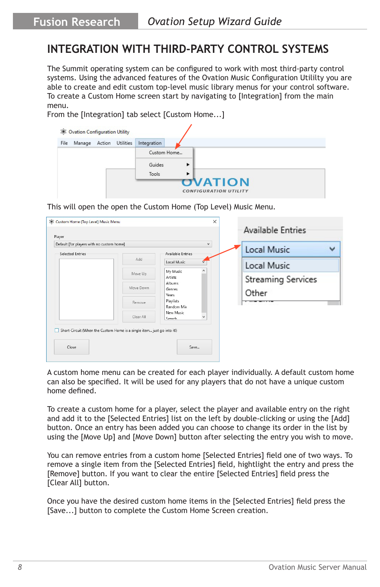### **INTEGRATION WITH THIRD-PARTY CONTROL SYSTEMS**

The Summit operating system can be configured to work with most third-party control systems. Using the advanced features of the Ovation Music Configuration Utililty you are able to create and edit custom top-level music library menus for your control software. To create a Custom Home screen start by navigating to [Integration] from the main menu.

From the [Integration] tab select [Custom Home...]



This will open the open the Custom Home (Top Level) Music Menu.

| Default [for players with no custom home] |                                                                        | $\checkmark$            | Local Music<br>w   |
|-------------------------------------------|------------------------------------------------------------------------|-------------------------|--------------------|
| <b>Selected Entries</b>                   | Add                                                                    | Available Entries       |                    |
|                                           |                                                                        | Local Music             | Local Music        |
|                                           | Move Up                                                                | My Music<br>Artists     | Streaming Services |
|                                           | Move Down                                                              | Albums<br>Genres        |                    |
|                                           |                                                                        | <b>Years</b>            | Other              |
|                                           | Remove                                                                 | Playlists<br>Random Mix |                    |
|                                           | Clear All                                                              | New Music<br>v          |                    |
| Close                                     | Short-Circuit (When the Custom Home is a single item just go into it!) | Search<br>Save          |                    |

A custom home menu can be created for each player individually. A default custom home can also be specified. It will be used for any players that do not have a unique custom home defined.

To create a custom home for a player, select the player and available entry on the right and add it to the [Selected Entries] list on the left by double-clicking or using the [Add] button. Once an entry has been added you can choose to change its order in the list by using the [Move Up] and [Move Down] button after selecting the entry you wish to move.

You can remove entries from a custom home [Selected Entries] field one of two ways. To remove a single item from the [Selected Entries] field, hightlight the entry and press the [Remove] button. If you want to clear the entire [Selected Entries] field press the [Clear All] button.

Once you have the desired custom home items in the [Selected Entries] field press the [Save...] button to complete the Custom Home Screen creation.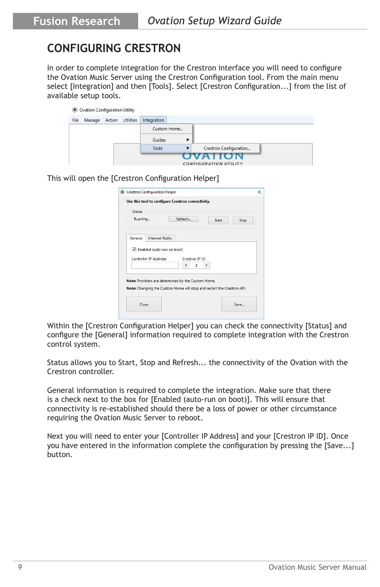# **CONFIGURING CRESTRON**

In order to complete integration for the Crestron interface you will need to configure the Ovation Music Server using the Crestron Configuration tool. From the main menu select [Integration] and then [Tools]. Select [Crestron Configuration...] from the list of available setup tools.

|      | 8 Ovation Configuration Utility |                  |             |             |                                                |  |
|------|---------------------------------|------------------|-------------|-------------|------------------------------------------------|--|
| File | Manage                          | Action Utilities | Integration |             |                                                |  |
|      |                                 |                  |             | Custom Home |                                                |  |
|      |                                 |                  | Guides      | ٠           |                                                |  |
|      |                                 |                  | Tools       | ٠           | Crestron Configuration                         |  |
|      |                                 |                  |             |             | <b>OVATION</b><br><b>CONFIGURATION UTILITY</b> |  |

This will open the [Crestron Configuration Helper]

|                                                                                                                              |                | Refresh |                |               |       |      |
|------------------------------------------------------------------------------------------------------------------------------|----------------|---------|----------------|---------------|-------|------|
| Running                                                                                                                      |                |         |                |               | Start | Stop |
|                                                                                                                              |                |         |                |               |       |      |
| General                                                                                                                      | Internet Radio |         |                |               |       |      |
| ✔ Enabled (auto-run on boot)                                                                                                 |                |         |                |               |       |      |
|                                                                                                                              |                |         |                |               |       |      |
| Controller IP Address                                                                                                        |                |         | Crestron IP ID |               |       |      |
|                                                                                                                              |                | <       | 3              | $\rightarrow$ |       |      |
|                                                                                                                              |                |         |                |               |       |      |
|                                                                                                                              |                |         |                |               |       |      |
|                                                                                                                              |                |         |                |               |       |      |
| Note: Providers are determined by the Custom Home.<br>Note: Changing the Custom Home will stop and restart the Crestron API. |                |         |                |               |       |      |

Within the [Crestron Configuration Helper] you can check the connectivity [Status] and configure the [General] information required to complete integration with the Crestron control system.

Status allows you to Start, Stop and Refresh... the connectivity of the Ovation with the Crestron controller.

General information is required to complete the integration. Make sure that there is a check next to the box for [Enabled (auto-run on boot)]. This will ensure that connectivity is re-established should there be a loss of power or other circumstance requiring the Ovation Music Server to reboot.

Next you will need to enter your [Controller IP Address] and your [Crestron IP ID]. Once you have entered in the information complete the configuration by pressing the [Save...] button.